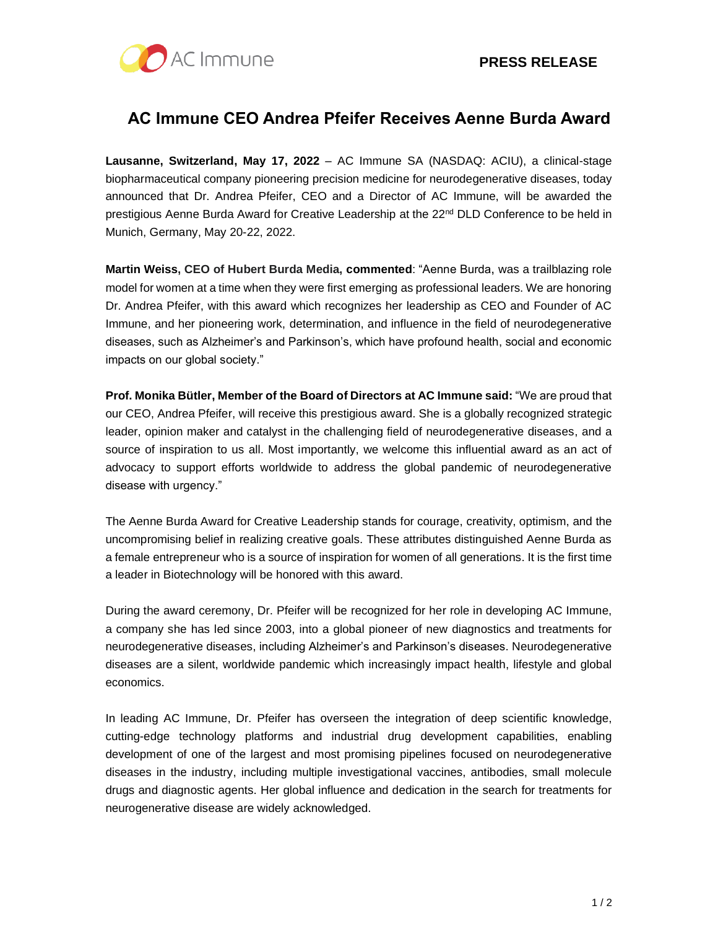

# **AC Immune CEO Andrea Pfeifer Receives Aenne Burda Award**

**Lausanne, Switzerland, May 17, 2022** – AC Immune SA (NASDAQ: ACIU), a clinical-stage biopharmaceutical company pioneering precision medicine for neurodegenerative diseases, today announced that Dr. Andrea Pfeifer, CEO and a Director of AC Immune, will be awarded the prestigious Aenne Burda Award for Creative Leadership at the 22<sup>nd</sup> DLD Conference to be held in Munich, Germany, May 20-22, 2022.

**Martin Weiss, CEO of Hubert Burda Media, commented**: "Aenne Burda, was a trailblazing role model for women at a time when they were first emerging as professional leaders. We are honoring Dr. Andrea Pfeifer, with this award which recognizes her leadership as CEO and Founder of AC Immune, and her pioneering work, determination, and influence in the field of neurodegenerative diseases, such as Alzheimer's and Parkinson's, which have profound health, social and economic impacts on our global society."

**Prof. Monika Bütler, Member of the Board of Directors at AC Immune said:** "We are proud that our CEO, Andrea Pfeifer, will receive this prestigious award. She is a globally recognized strategic leader, opinion maker and catalyst in the challenging field of neurodegenerative diseases, and a source of inspiration to us all. Most importantly, we welcome this influential award as an act of advocacy to support efforts worldwide to address the global pandemic of neurodegenerative disease with urgency."

The Aenne Burda Award for Creative Leadership stands for courage, creativity, optimism, and the uncompromising belief in realizing creative goals. These attributes distinguished Aenne Burda as a female entrepreneur who is a source of inspiration for women of all generations. It is the first time a leader in Biotechnology will be honored with this award.

During the award ceremony, Dr. Pfeifer will be recognized for her role in developing AC Immune, a company she has led since 2003, into a global pioneer of new diagnostics and treatments for neurodegenerative diseases, including Alzheimer's and Parkinson's diseases. Neurodegenerative diseases are a silent, worldwide pandemic which increasingly impact health, lifestyle and global economics.

In leading AC Immune, Dr. Pfeifer has overseen the integration of deep scientific knowledge, cutting-edge technology platforms and industrial drug development capabilities, enabling development of one of the largest and most promising pipelines focused on neurodegenerative diseases in the industry, including multiple investigational vaccines, antibodies, small molecule drugs and diagnostic agents. Her global influence and dedication in the search for treatments for neurogenerative disease are widely acknowledged.